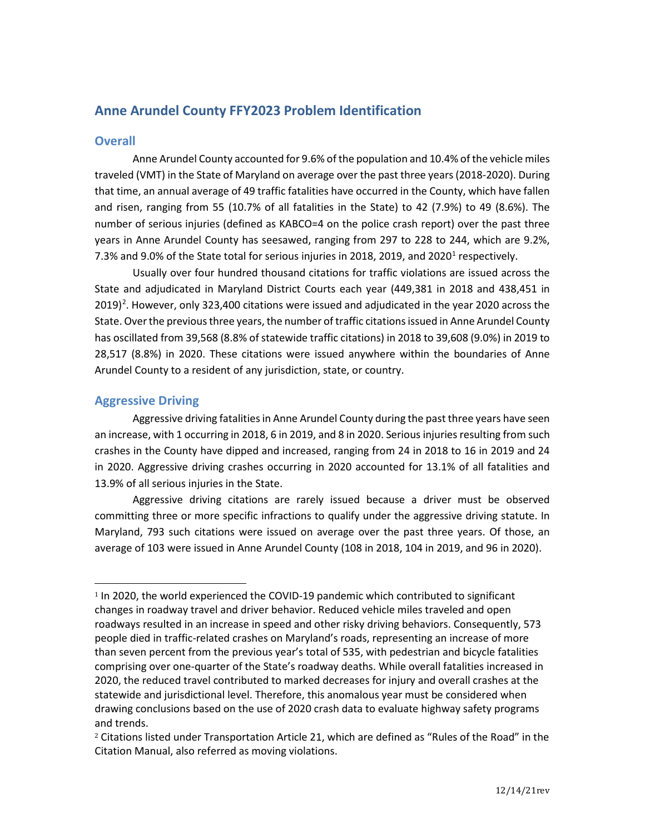# **Anne Arundel County FFY2023 Problem Identification**

# **Overall**

Anne Arundel County accounted for 9.6% of the population and 10.4% of the vehicle miles traveled (VMT) in the State of Maryland on average over the past three years (2018-2020). During that time, an annual average of 49 traffic fatalities have occurred in the County, which have fallen and risen, ranging from 55 (10.7% of all fatalities in the State) to 42 (7.9%) to 49 (8.6%). The number of serious injuries (defined as KABCO=4 on the police crash report) over the past three years in Anne Arundel County has seesawed, ranging from 297 to 228 to 244, which are 9.2%, 7.3% and 9.0% of the State total for serious injuries in 20[1](#page-0-0)8, 2019, and 2020<sup>1</sup> respectively.

Usually over four hundred thousand citations for traffic violations are issued across the State and adjudicated in Maryland District Courts each year (449,381 in 2018 and 438,451 in  $2019)$  $2019)$ <sup>2</sup>. However, only 323,400 citations were issued and adjudicated in the year 2020 across the State. Over the previous three years, the number of traffic citations issued in Anne Arundel County has oscillated from 39,568 (8.8% of statewide traffic citations) in 2018 to 39,608 (9.0%) in 2019 to 28,517 (8.8%) in 2020. These citations were issued anywhere within the boundaries of Anne Arundel County to a resident of any jurisdiction, state, or country.

# **Aggressive Driving**

Aggressive driving fatalities in Anne Arundel County during the past three years have seen an increase, with 1 occurring in 2018, 6 in 2019, and 8 in 2020. Serious injuries resulting from such crashes in the County have dipped and increased, ranging from 24 in 2018 to 16 in 2019 and 24 in 2020. Aggressive driving crashes occurring in 2020 accounted for 13.1% of all fatalities and 13.9% of all serious injuries in the State.

Aggressive driving citations are rarely issued because a driver must be observed committing three or more specific infractions to qualify under the aggressive driving statute. In Maryland, 793 such citations were issued on average over the past three years. Of those, an average of 103 were issued in Anne Arundel County (108 in 2018, 104 in 2019, and 96 in 2020).

<span id="page-0-0"></span><sup>&</sup>lt;sup>1</sup> In 2020, the world experienced the COVID-19 pandemic which contributed to significant changes in roadway travel and driver behavior. Reduced vehicle miles traveled and open roadways resulted in an increase in speed and other risky driving behaviors. Consequently, 573 people died in traffic-related crashes on Maryland's roads, representing an increase of more than seven percent from the previous year's total of 535, with pedestrian and bicycle fatalities comprising over one-quarter of the State's roadway deaths. While overall fatalities increased in 2020, the reduced travel contributed to marked decreases for injury and overall crashes at the statewide and jurisdictional level. Therefore, this anomalous year must be considered when drawing conclusions based on the use of 2020 crash data to evaluate highway safety programs and trends.

<span id="page-0-1"></span><sup>2</sup> Citations listed under Transportation Article 21, which are defined as "Rules of the Road" in the Citation Manual, also referred as moving violations.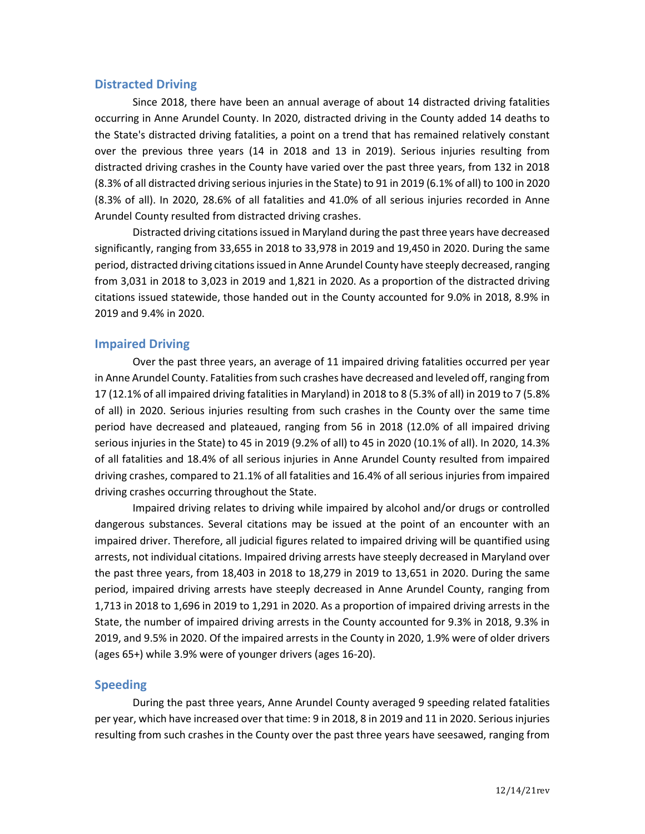### **Distracted Driving**

Since 2018, there have been an annual average of about 14 distracted driving fatalities occurring in Anne Arundel County. In 2020, distracted driving in the County added 14 deaths to the State's distracted driving fatalities, a point on a trend that has remained relatively constant over the previous three years (14 in 2018 and 13 in 2019). Serious injuries resulting from distracted driving crashes in the County have varied over the past three years, from 132 in 2018 (8.3% of all distracted driving serious injuries in the State) to 91 in 2019 (6.1% of all) to 100 in 2020 (8.3% of all). In 2020, 28.6% of all fatalities and 41.0% of all serious injuries recorded in Anne Arundel County resulted from distracted driving crashes.

Distracted driving citations issued in Maryland during the past three years have decreased significantly, ranging from 33,655 in 2018 to 33,978 in 2019 and 19,450 in 2020. During the same period, distracted driving citations issued in Anne Arundel County have steeply decreased, ranging from 3,031 in 2018 to 3,023 in 2019 and 1,821 in 2020. As a proportion of the distracted driving citations issued statewide, those handed out in the County accounted for 9.0% in 2018, 8.9% in 2019 and 9.4% in 2020.

### **Impaired Driving**

Over the past three years, an average of 11 impaired driving fatalities occurred per year in Anne Arundel County. Fatalities from such crashes have decreased and leveled off, ranging from 17 (12.1% of all impaired driving fatalities in Maryland) in 2018 to 8 (5.3% of all) in 2019 to 7 (5.8% of all) in 2020. Serious injuries resulting from such crashes in the County over the same time period have decreased and plateaued, ranging from 56 in 2018 (12.0% of all impaired driving serious injuries in the State) to 45 in 2019 (9.2% of all) to 45 in 2020 (10.1% of all). In 2020, 14.3% of all fatalities and 18.4% of all serious injuries in Anne Arundel County resulted from impaired driving crashes, compared to 21.1% of all fatalities and 16.4% of all serious injuries from impaired driving crashes occurring throughout the State.

Impaired driving relates to driving while impaired by alcohol and/or drugs or controlled dangerous substances. Several citations may be issued at the point of an encounter with an impaired driver. Therefore, all judicial figures related to impaired driving will be quantified using arrests, not individual citations. Impaired driving arrests have steeply decreased in Maryland over the past three years, from 18,403 in 2018 to 18,279 in 2019 to 13,651 in 2020. During the same period, impaired driving arrests have steeply decreased in Anne Arundel County, ranging from 1,713 in 2018 to 1,696 in 2019 to 1,291 in 2020. As a proportion of impaired driving arrests in the State, the number of impaired driving arrests in the County accounted for 9.3% in 2018, 9.3% in 2019, and 9.5% in 2020. Of the impaired arrests in the County in 2020, 1.9% were of older drivers (ages 65+) while 3.9% were of younger drivers (ages 16-20).

#### **Speeding**

During the past three years, Anne Arundel County averaged 9 speeding related fatalities per year, which have increased over that time: 9 in 2018, 8 in 2019 and 11 in 2020. Serious injuries resulting from such crashes in the County over the past three years have seesawed, ranging from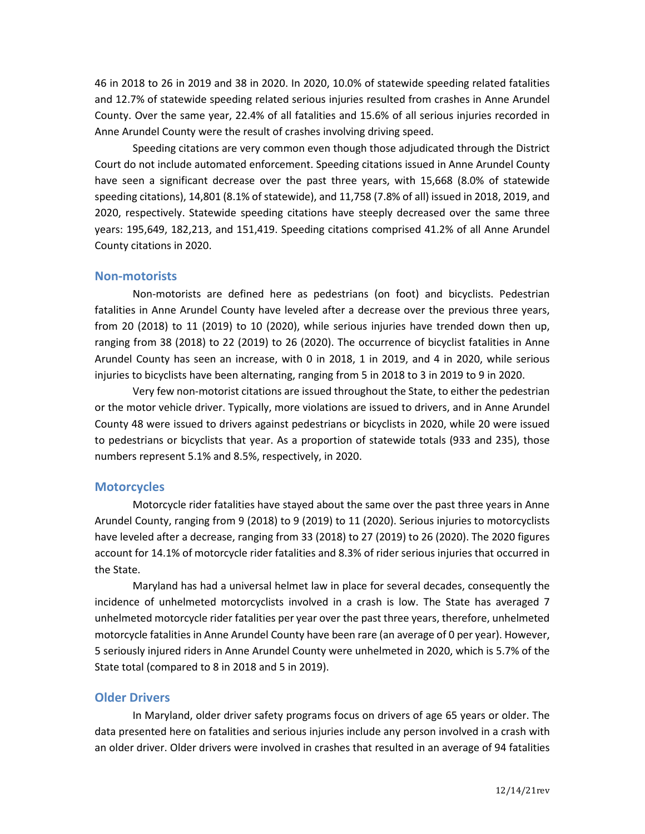46 in 2018 to 26 in 2019 and 38 in 2020. In 2020, 10.0% of statewide speeding related fatalities and 12.7% of statewide speeding related serious injuries resulted from crashes in Anne Arundel County. Over the same year, 22.4% of all fatalities and 15.6% of all serious injuries recorded in Anne Arundel County were the result of crashes involving driving speed.

Speeding citations are very common even though those adjudicated through the District Court do not include automated enforcement. Speeding citations issued in Anne Arundel County have seen a significant decrease over the past three years, with 15,668 (8.0% of statewide speeding citations), 14,801 (8.1% of statewide), and 11,758 (7.8% of all) issued in 2018, 2019, and 2020, respectively. Statewide speeding citations have steeply decreased over the same three years: 195,649, 182,213, and 151,419. Speeding citations comprised 41.2% of all Anne Arundel County citations in 2020.

#### **Non-motorists**

Non-motorists are defined here as pedestrians (on foot) and bicyclists. Pedestrian fatalities in Anne Arundel County have leveled after a decrease over the previous three years, from 20 (2018) to 11 (2019) to 10 (2020), while serious injuries have trended down then up, ranging from 38 (2018) to 22 (2019) to 26 (2020). The occurrence of bicyclist fatalities in Anne Arundel County has seen an increase, with 0 in 2018, 1 in 2019, and 4 in 2020, while serious injuries to bicyclists have been alternating, ranging from 5 in 2018 to 3 in 2019 to 9 in 2020.

Very few non-motorist citations are issued throughout the State, to either the pedestrian or the motor vehicle driver. Typically, more violations are issued to drivers, and in Anne Arundel County 48 were issued to drivers against pedestrians or bicyclists in 2020, while 20 were issued to pedestrians or bicyclists that year. As a proportion of statewide totals (933 and 235), those numbers represent 5.1% and 8.5%, respectively, in 2020.

#### **Motorcycles**

Motorcycle rider fatalities have stayed about the same over the past three years in Anne Arundel County, ranging from 9 (2018) to 9 (2019) to 11 (2020). Serious injuries to motorcyclists have leveled after a decrease, ranging from 33 (2018) to 27 (2019) to 26 (2020). The 2020 figures account for 14.1% of motorcycle rider fatalities and 8.3% of rider serious injuries that occurred in the State.

Maryland has had a universal helmet law in place for several decades, consequently the incidence of unhelmeted motorcyclists involved in a crash is low. The State has averaged 7 unhelmeted motorcycle rider fatalities per year over the past three years, therefore, unhelmeted motorcycle fatalities in Anne Arundel County have been rare (an average of 0 per year). However, 5 seriously injured riders in Anne Arundel County were unhelmeted in 2020, which is 5.7% of the State total (compared to 8 in 2018 and 5 in 2019).

#### **Older Drivers**

In Maryland, older driver safety programs focus on drivers of age 65 years or older. The data presented here on fatalities and serious injuries include any person involved in a crash with an older driver. Older drivers were involved in crashes that resulted in an average of 94 fatalities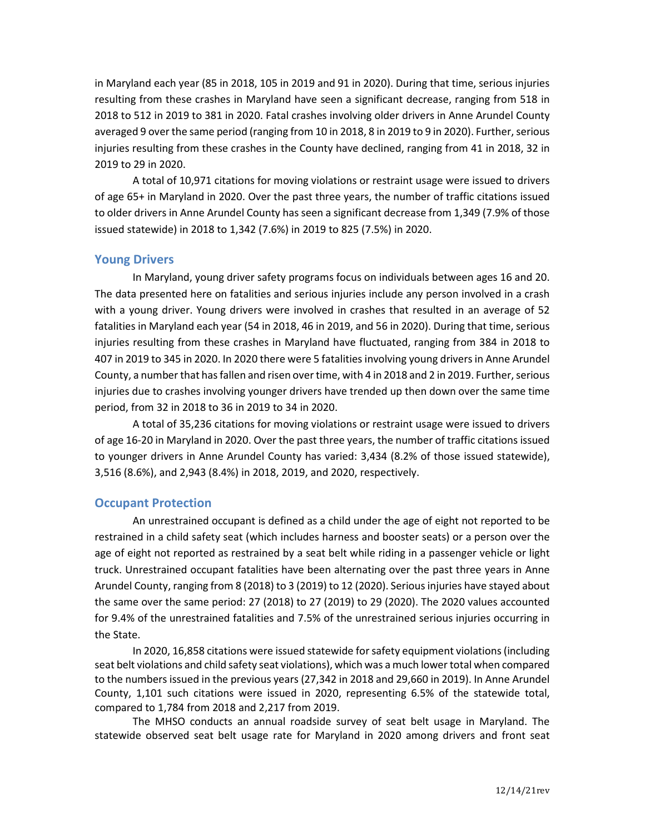in Maryland each year (85 in 2018, 105 in 2019 and 91 in 2020). During that time, serious injuries resulting from these crashes in Maryland have seen a significant decrease, ranging from 518 in 2018 to 512 in 2019 to 381 in 2020. Fatal crashes involving older drivers in Anne Arundel County averaged 9 over the same period (ranging from 10 in 2018, 8 in 2019 to 9 in 2020). Further, serious injuries resulting from these crashes in the County have declined, ranging from 41 in 2018, 32 in 2019 to 29 in 2020.

A total of 10,971 citations for moving violations or restraint usage were issued to drivers of age 65+ in Maryland in 2020. Over the past three years, the number of traffic citations issued to older drivers in Anne Arundel County has seen a significant decrease from 1,349 (7.9% of those issued statewide) in 2018 to 1,342 (7.6%) in 2019 to 825 (7.5%) in 2020.

# **Young Drivers**

In Maryland, young driver safety programs focus on individuals between ages 16 and 20. The data presented here on fatalities and serious injuries include any person involved in a crash with a young driver. Young drivers were involved in crashes that resulted in an average of 52 fatalities in Maryland each year (54 in 2018, 46 in 2019, and 56 in 2020). During that time, serious injuries resulting from these crashes in Maryland have fluctuated, ranging from 384 in 2018 to 407 in 2019 to 345 in 2020. In 2020 there were 5 fatalities involving young drivers in Anne Arundel County, a number that has fallen and risen over time, with 4 in 2018 and 2 in 2019. Further, serious injuries due to crashes involving younger drivers have trended up then down over the same time period, from 32 in 2018 to 36 in 2019 to 34 in 2020.

A total of 35,236 citations for moving violations or restraint usage were issued to drivers of age 16-20 in Maryland in 2020. Over the past three years, the number of traffic citations issued to younger drivers in Anne Arundel County has varied: 3,434 (8.2% of those issued statewide), 3,516 (8.6%), and 2,943 (8.4%) in 2018, 2019, and 2020, respectively.

### **Occupant Protection**

An unrestrained occupant is defined as a child under the age of eight not reported to be restrained in a child safety seat (which includes harness and booster seats) or a person over the age of eight not reported as restrained by a seat belt while riding in a passenger vehicle or light truck. Unrestrained occupant fatalities have been alternating over the past three years in Anne Arundel County, ranging from 8 (2018) to 3 (2019) to 12 (2020). Serious injuries have stayed about the same over the same period: 27 (2018) to 27 (2019) to 29 (2020). The 2020 values accounted for 9.4% of the unrestrained fatalities and 7.5% of the unrestrained serious injuries occurring in the State.

In 2020, 16,858 citations were issued statewide for safety equipment violations(including seat belt violations and child safety seat violations), which was a much lower total when compared to the numbers issued in the previous years (27,342 in 2018 and 29,660 in 2019). In Anne Arundel County, 1,101 such citations were issued in 2020, representing 6.5% of the statewide total, compared to 1,784 from 2018 and 2,217 from 2019.

The MHSO conducts an annual roadside survey of seat belt usage in Maryland. The statewide observed seat belt usage rate for Maryland in 2020 among drivers and front seat